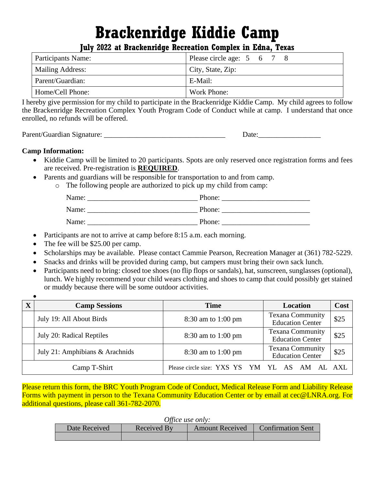# **Brackenridge Kiddie Camp**

**July 2022 at Brackenridge Recreation Complex in Edna, Texas**

| Participants Name: | Please circle age: 5 6 7 8 |
|--------------------|----------------------------|
| Mailing Address:   | City, State, Zip:          |
| Parent/Guardian:   | E-Mail:                    |
| Home/Cell Phone:   | Work Phone:                |

I hereby give permission for my child to participate in the Brackenridge Kiddie Camp. My child agrees to follow the Brackenridge Recreation Complex Youth Program Code of Conduct while at camp. I understand that once enrolled, no refunds will be offered.

Parent/Guardian Signature: \_\_\_\_\_\_\_\_\_\_\_\_\_\_\_\_\_\_\_\_\_\_\_\_\_\_\_\_\_\_\_\_\_ Date:\_\_\_\_\_\_\_\_\_\_\_\_\_\_\_\_\_

## **Camp Information:**

- Kiddie Camp will be limited to 20 participants. Spots are only reserved once registration forms and fees are received. Pre-registration is **REQUIRED**.
- Parents and guardians will be responsible for transportation to and from camp.
	- o The following people are authorized to pick up my child from camp:

| Name: | Phone: |
|-------|--------|
| Name: | Phone: |
| Name: | Phone: |

- Participants are not to arrive at camp before 8:15 a.m. each morning.
- The fee will be \$25.00 per camp.
- Scholarships may be available. Please contact Cammie Pearson, Recreation Manager at (361) 782-5229.
- Snacks and drinks will be provided during camp, but campers must bring their own sack lunch.
- Participants need to bring: closed toe shoes (no flip flops or sandals), hat, sunscreen, sunglasses (optional), lunch. We highly recommend your child wears clothing and shoes to camp that could possibly get stained or muddy because there will be some outdoor activities.

| X | <b>Camp Sessions</b>            | <b>Time</b>                               | Location                                           | Cost |
|---|---------------------------------|-------------------------------------------|----------------------------------------------------|------|
|   | July 19: All About Birds        | 8:30 am to 1:00 pm                        | <b>Texana Community</b><br><b>Education Center</b> | \$25 |
|   | July 20: Radical Reptiles       | 8:30 am to 1:00 pm                        | <b>Texana Community</b><br><b>Education Center</b> | \$25 |
|   | July 21: Amphibians & Arachnids | 8:30 am to 1:00 pm                        | <b>Texana Community</b><br><b>Education Center</b> | \$25 |
|   | Camp T-Shirt                    | Please circle size: YXS YS YM YL AS AM AL |                                                    | AXL  |

Please return this form, the BRC Youth Program Code of Conduct, Medical Release Form and Liability Release Forms with payment in person to the Texana Community Education Center or by email at cec@LNRA.org. For additional questions, please call 361-782-2070.

| <i>Office use only:</i> |  |  |
|-------------------------|--|--|
|                         |  |  |

| Ullice use Ully. |             |                        |                          |
|------------------|-------------|------------------------|--------------------------|
| Date Received    | Received By | <b>Amount Received</b> | <b>Confirmation Sent</b> |
|                  |             |                        |                          |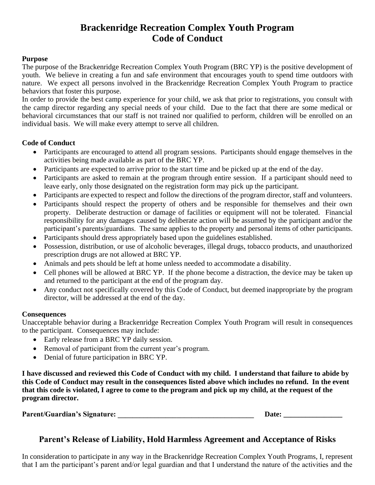# **Brackenridge Recreation Complex Youth Program Code of Conduct**

#### **Purpose**

The purpose of the Brackenridge Recreation Complex Youth Program (BRC YP) is the positive development of youth. We believe in creating a fun and safe environment that encourages youth to spend time outdoors with nature. We expect all persons involved in the Brackenridge Recreation Complex Youth Program to practice behaviors that foster this purpose.

In order to provide the best camp experience for your child, we ask that prior to registrations, you consult with the camp director regarding any special needs of your child. Due to the fact that there are some medical or behavioral circumstances that our staff is not trained nor qualified to perform, children will be enrolled on an individual basis. We will make every attempt to serve all children.

## **Code of Conduct**

- Participants are encouraged to attend all program sessions. Participants should engage themselves in the activities being made available as part of the BRC YP.
- Participants are expected to arrive prior to the start time and be picked up at the end of the day.
- Participants are asked to remain at the program through entire session. If a participant should need to leave early, only those designated on the registration form may pick up the participant.
- Participants are expected to respect and follow the directions of the program director, staff and volunteers.
- Participants should respect the property of others and be responsible for themselves and their own property. Deliberate destruction or damage of facilities or equipment will not be tolerated. Financial responsibility for any damages caused by deliberate action will be assumed by the participant and/or the participant's parents/guardians. The same applies to the property and personal items of other participants.
- Participants should dress appropriately based upon the guidelines established.
- Possession, distribution, or use of alcoholic beverages, illegal drugs, tobacco products, and unauthorized prescription drugs are not allowed at BRC YP.
- Animals and pets should be left at home unless needed to accommodate a disability.
- Cell phones will be allowed at BRC YP. If the phone become a distraction, the device may be taken up and returned to the participant at the end of the program day.
- Any conduct not specifically covered by this Code of Conduct, but deemed inappropriate by the program director, will be addressed at the end of the day.

#### **Consequences**

Unacceptable behavior during a Brackenridge Recreation Complex Youth Program will result in consequences to the participant. Consequences may include:

- Early release from a BRC YP daily session.
- Removal of participant from the current year's program.
- Denial of future participation in BRC YP.

**I have discussed and reviewed this Code of Conduct with my child. I understand that failure to abide by this Code of Conduct may result in the consequences listed above which includes no refund. In the event that this code is violated, I agree to come to the program and pick up my child, at the request of the program director.**

| <b>Parent/Guardian's Signature:</b> | Date: |
|-------------------------------------|-------|
|                                     |       |

## **Parent's Release of Liability, Hold Harmless Agreement and Acceptance of Risks**

In consideration to participate in any way in the Brackenridge Recreation Complex Youth Programs, I, represent that I am the participant's parent and/or legal guardian and that I understand the nature of the activities and the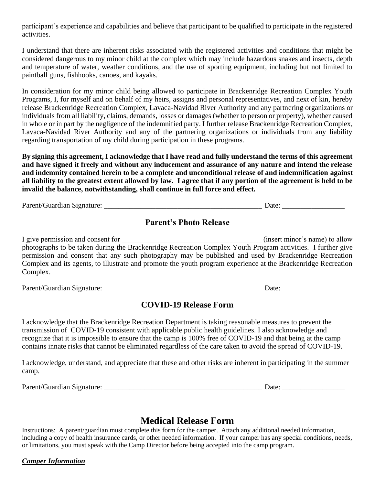participant's experience and capabilities and believe that participant to be qualified to participate in the registered activities.

I understand that there are inherent risks associated with the registered activities and conditions that might be considered dangerous to my minor child at the complex which may include hazardous snakes and insects, depth and temperature of water, weather conditions, and the use of sporting equipment, including but not limited to paintball guns, fishhooks, canoes, and kayaks.

In consideration for my minor child being allowed to participate in Brackenridge Recreation Complex Youth Programs, I, for myself and on behalf of my heirs, assigns and personal representatives, and next of kin, hereby release Brackenridge Recreation Complex, Lavaca-Navidad River Authority and any partnering organizations or individuals from all liability, claims, demands, losses or damages (whether to person or property), whether caused in whole or in part by the negligence of the indemnified party. I further release Brackenridge Recreation Complex, Lavaca-Navidad River Authority and any of the partnering organizations or individuals from any liability regarding transportation of my child during participation in these programs.

**By signing this agreement, I acknowledge that I have read and fully understand the terms of this agreement and have signed it freely and without any inducement and assurance of any nature and intend the release and indemnity contained herein to be a complete and unconditional release of and indemnification against all liability to the greatest extent allowed by law. I agree that if any portion of the agreement is held to be invalid the balance, notwithstanding, shall continue in full force and effect.**

Parent/Guardian Signature: \_\_\_\_\_\_\_\_\_\_\_\_\_\_\_\_\_\_\_\_\_\_\_\_\_\_\_\_\_\_\_\_\_\_\_\_\_\_\_\_\_\_\_ Date: \_\_\_\_\_\_\_\_\_\_\_\_\_\_\_\_\_

## **Parent's Photo Release**

I give permission and consent for \_\_\_\_\_\_\_\_\_\_\_\_\_\_\_\_\_\_\_\_\_\_\_\_\_\_\_\_\_\_\_\_\_\_\_\_\_\_ (insert minor's name) to allow photographs to be taken during the Brackenridge Recreation Complex Youth Program activities. I further give permission and consent that any such photography may be published and used by Brackenridge Recreation Complex and its agents, to illustrate and promote the youth program experience at the Brackenridge Recreation Complex.

Parent/Guardian Signature: \_\_\_\_\_\_\_\_\_\_\_\_\_\_\_\_\_\_\_\_\_\_\_\_\_\_\_\_\_\_\_\_\_\_\_\_\_\_\_\_\_\_\_ Date: \_\_\_\_\_\_\_\_\_\_\_\_\_\_\_\_\_

## **COVID-19 Release Form**

I acknowledge that the Brackenridge Recreation Department is taking reasonable measures to prevent the transmission of COVID-19 consistent with applicable public health guidelines. I also acknowledge and recognize that it is impossible to ensure that the camp is 100% free of COVID-19 and that being at the camp contains innate risks that cannot be eliminated regardless of the care taken to avoid the spread of COVID-19.

I acknowledge, understand, and appreciate that these and other risks are inherent in participating in the summer camp.

Parent/Guardian Signature: \_\_\_\_\_\_\_\_\_\_\_\_\_\_\_\_\_\_\_\_\_\_\_\_\_\_\_\_\_\_\_\_\_\_\_\_\_\_\_\_\_\_\_ Date: \_\_\_\_\_\_\_\_\_\_\_\_\_\_\_\_\_

## **Medical Release Form**

Instructions: A parent/guardian must complete this form for the camper. Attach any additional needed information, including a copy of health insurance cards, or other needed information. If your camper has any special conditions, needs, or limitations, you must speak with the Camp Director before being accepted into the camp program.

## *Camper Information*